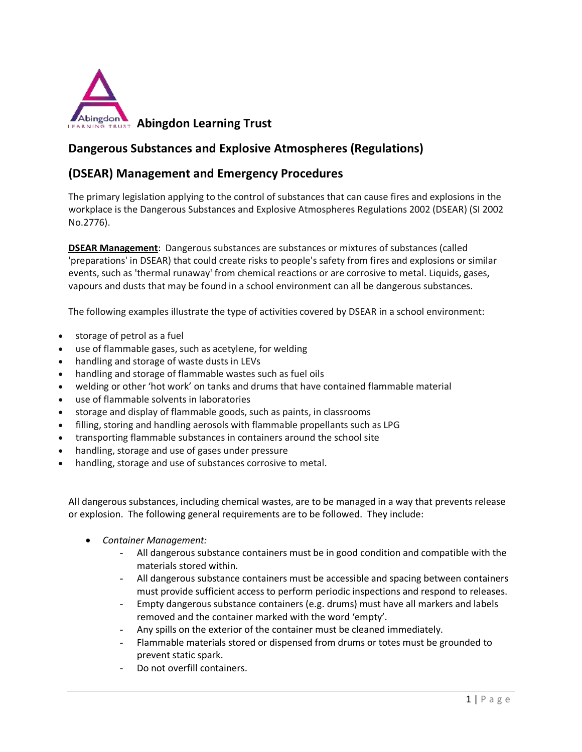

# **Dangerous Substances and Explosive Atmospheres (Regulations)**

# **(DSEAR) Management and Emergency Procedures**

The primary legislation applying to the control of substances that can cause fires and explosions in the workplace is the Dangerous Substances and Explosive Atmospheres Regulations 2002 (DSEAR) (SI 2002 No.2776).

**DSEAR Management**: Dangerous substances are substances or mixtures of substances (called 'preparations' in DSEAR) that could create risks to people's safety from fires and explosions or similar events, such as 'thermal runaway' from chemical reactions or are corrosive to metal. Liquids, gases, vapours and dusts that may be found in a school environment can all be dangerous substances.

The following examples illustrate the type of activities covered by DSEAR in a school environment:

- storage of petrol as a fuel
- use of flammable gases, such as acetylene, for welding
- handling and storage of waste dusts in LEVs
- handling and storage of flammable wastes such as fuel oils
- welding or other 'hot work' on tanks and drums that have contained flammable material
- use of flammable solvents in laboratories
- storage and display of flammable goods, such as paints, in classrooms
- filling, storing and handling aerosols with flammable propellants such as LPG
- transporting flammable substances in containers around the school site
- handling, storage and use of gases under pressure
- handling, storage and use of substances corrosive to metal.

All dangerous substances, including chemical wastes, are to be managed in a way that prevents release or explosion. The following general requirements are to be followed. They include:

- *Container Management:*
	- All dangerous substance containers must be in good condition and compatible with the materials stored within.
	- All dangerous substance containers must be accessible and spacing between containers must provide sufficient access to perform periodic inspections and respond to releases.
	- Empty dangerous substance containers (e.g. drums) must have all markers and labels removed and the container marked with the word 'empty'.
	- Any spills on the exterior of the container must be cleaned immediately.
	- Flammable materials stored or dispensed from drums or totes must be grounded to prevent static spark.
	- Do not overfill containers.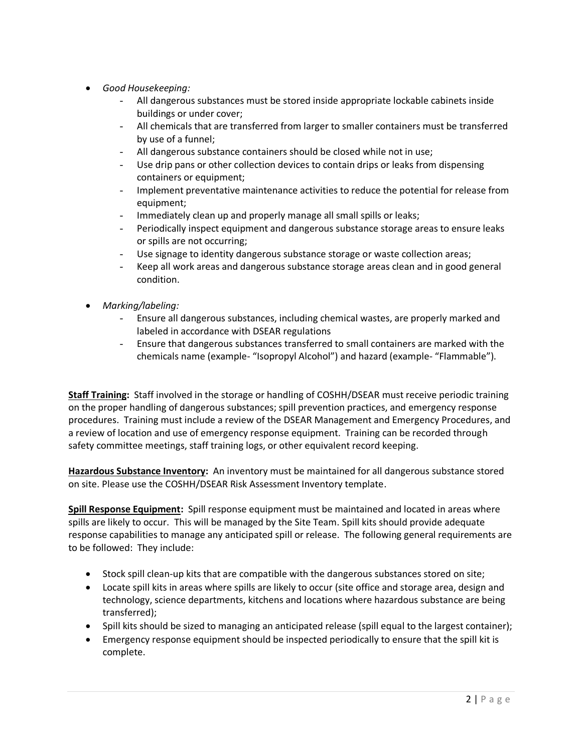- *Good Housekeeping:*
	- All dangerous substances must be stored inside appropriate lockable cabinets inside buildings or under cover;
	- All chemicals that are transferred from larger to smaller containers must be transferred by use of a funnel;
	- All dangerous substance containers should be closed while not in use;
	- Use drip pans or other collection devices to contain drips or leaks from dispensing containers or equipment;
	- Implement preventative maintenance activities to reduce the potential for release from equipment;
	- Immediately clean up and properly manage all small spills or leaks;
	- Periodically inspect equipment and dangerous substance storage areas to ensure leaks or spills are not occurring;
	- Use signage to identity dangerous substance storage or waste collection areas;
	- Keep all work areas and dangerous substance storage areas clean and in good general condition.
- *Marking/labeling:*
	- Ensure all dangerous substances, including chemical wastes, are properly marked and labeled in accordance with DSEAR regulations
	- Ensure that dangerous substances transferred to small containers are marked with the chemicals name (example- "Isopropyl Alcohol") and hazard (example- "Flammable").

**Staff Training:** Staff involved in the storage or handling of COSHH/DSEAR must receive periodic training on the proper handling of dangerous substances; spill prevention practices, and emergency response procedures. Training must include a review of the DSEAR Management and Emergency Procedures, and a review of location and use of emergency response equipment. Training can be recorded through safety committee meetings, staff training logs, or other equivalent record keeping.

**Hazardous Substance Inventory:** An inventory must be maintained for all dangerous substance stored on site. Please use the COSHH/DSEAR Risk Assessment Inventory template.

**Spill Response Equipment:** Spill response equipment must be maintained and located in areas where spills are likely to occur. This will be managed by the Site Team. Spill kits should provide adequate response capabilities to manage any anticipated spill or release. The following general requirements are to be followed: They include:

- Stock spill clean-up kits that are compatible with the dangerous substances stored on site;
- Locate spill kits in areas where spills are likely to occur (site office and storage area, design and technology, science departments, kitchens and locations where hazardous substance are being transferred);
- Spill kits should be sized to managing an anticipated release (spill equal to the largest container);
- Emergency response equipment should be inspected periodically to ensure that the spill kit is complete.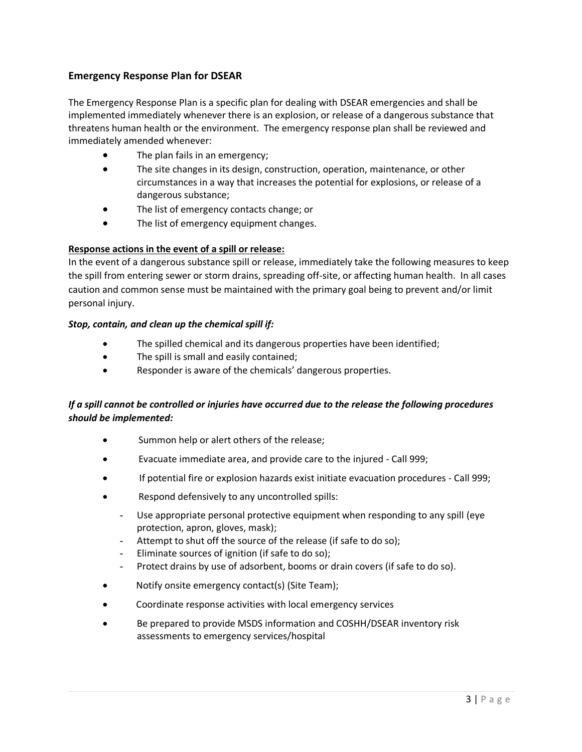### **Emergency Response Plan for DSEAR**

The Emergency Response Plan is a specific plan for dealing with DSEAR emergencies and shall be implemented immediately whenever there is an explosion, or release of a dangerous substance that threatens human health or the environment. The emergency response plan shall be reviewed and immediately amended whenever:

- The plan fails in an emergency;
- The site changes in its design, construction, operation, maintenance, or other circumstances in a way that increases the potential for explosions, or release of a dangerous substance;
- The list of emergency contacts change; or
- The list of emergency equipment changes.

#### **Response actions in the event of a spill or release:**

In the event of a dangerous substance spill or release, immediately take the following measures to keep the spill from entering sewer or storm drains, spreading off-site, or affecting human health. In all cases caution and common sense must be maintained with the primary goal being to prevent and/or limit personal injury.

#### *Stop, contain, and clean up the chemical spill if:*

- The spilled chemical and its dangerous properties have been identified;
- The spill is small and easily contained;
- Responder is aware of the chemicals' dangerous properties.

## *If a spill cannot be controlled or injuries have occurred due to the release the following procedures should be implemented:*

- Summon help or alert others of the release;
- Evacuate immediate area, and provide care to the injured Call 999;
- If potential fire or explosion hazards exist initiate evacuation procedures Call 999;
- Respond defensively to any uncontrolled spills:
	- Use appropriate personal protective equipment when responding to any spill (eye protection, apron, gloves, mask);
	- Attempt to shut off the source of the release (if safe to do so);
	- Eliminate sources of ignition (if safe to do so);
	- Protect drains by use of adsorbent, booms or drain covers (if safe to do so).
- Notify onsite emergency contact(s) (Site Team);
- Coordinate response activities with local emergency services
- Be prepared to provide MSDS information and COSHH/DSEAR inventory risk assessments to emergency services/hospital